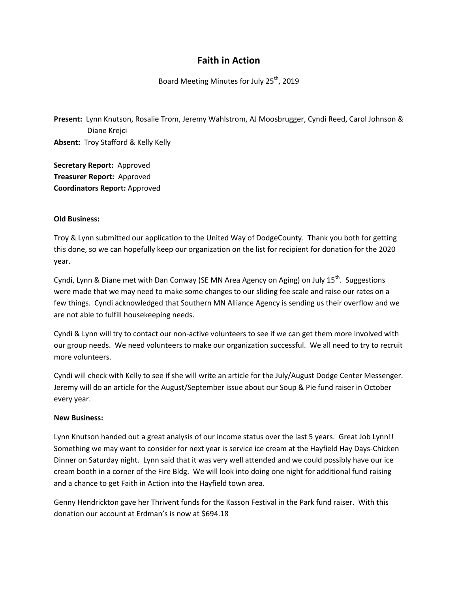## **Faith in Action**

Board Meeting Minutes for July 25<sup>th</sup>, 2019

**Present:** Lynn Knutson, Rosalie Trom, Jeremy Wahlstrom, AJ Moosbrugger, Cyndi Reed, Carol Johnson & Diane Krejci **Absent:** Troy Stafford & Kelly Kelly

**Secretary Report:** Approved **Treasurer Report:** Approved **Coordinators Report:** Approved

## **Old Business:**

Troy & Lynn submitted our application to the United Way of DodgeCounty. Thank you both for getting this done, so we can hopefully keep our organization on the list for recipient for donation for the 2020 year.

Cyndi, Lynn & Diane met with Dan Conway (SE MN Area Agency on Aging) on July  $15<sup>th</sup>$ . Suggestions were made that we may need to make some changes to our sliding fee scale and raise our rates on a few things. Cyndi acknowledged that Southern MN Alliance Agency is sending us their overflow and we are not able to fulfill housekeeping needs.

Cyndi & Lynn will try to contact our non-active volunteers to see if we can get them more involved with our group needs. We need volunteers to make our organization successful. We all need to try to recruit more volunteers.

Cyndi will check with Kelly to see if she will write an article for the July/August Dodge Center Messenger. Jeremy will do an article for the August/September issue about our Soup & Pie fund raiser in October every year.

## **New Business:**

Lynn Knutson handed out a great analysis of our income status over the last 5 years. Great Job Lynn!! Something we may want to consider for next year is service ice cream at the Hayfield Hay Days-Chicken Dinner on Saturday night. Lynn said that it was very well attended and we could possibly have our ice cream booth in a corner of the Fire Bldg. We will look into doing one night for additional fund raising and a chance to get Faith in Action into the Hayfield town area.

Genny Hendrickton gave her Thrivent funds for the Kasson Festival in the Park fund raiser. With this donation our account at Erdman's is now at \$694.18